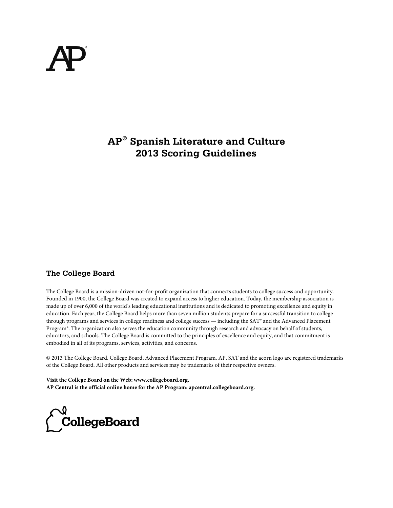# **AP® Spanish Literature and Culture 2013 Scoring Guidelines**

### **The College Board**

The College Board is a mission-driven not-for-profit organization that connects students to college success and opportunity. Founded in 1900, the College Board was created to expand access to higher education. Today, the membership association is made up of over 6,000 of the world's leading educational institutions and is dedicated to promoting excellence and equity in education. Each year, the College Board helps more than seven million students prepare for a successful transition to college through programs and services in college readiness and college success — including the SAT® and the Advanced Placement Program®. The organization also serves the education community through research and advocacy on behalf of students, educators, and schools. The College Board is committed to the principles of excellence and equity, and that commitment is embodied in all of its programs, services, activities, and concerns.

© 2013 The College Board. College Board, Advanced Placement Program, AP, SAT and the acorn logo are registered trademarks of the College Board. All other products and services may be trademarks of their respective owners.

**Visit the College Board on the Web: www.collegeboard.org. AP Central is the official online home for the AP Program: apcentral.collegeboard.org.**

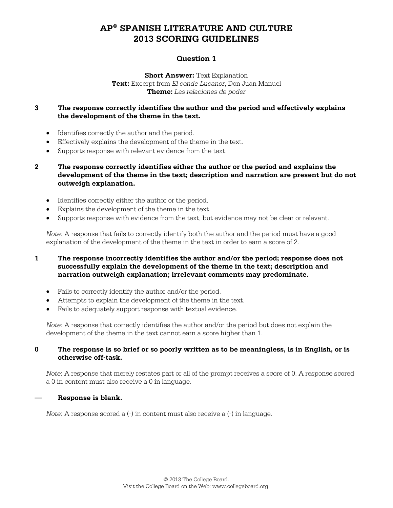### **Question 1**

**Short Answer: Text Explanation Text:** Excerpt from *El conde Lucanor*, Don Juan Manuel **Theme:** *Las relaciones de poder*

### **3 The response correctly identifies the author and the period and effectively explains the development of the theme in the text.**

- Identifies correctly the author and the period.
- Effectively explains the development of the theme in the text.
- Supports response with relevant evidence from the text.
- **2 The response correctly identifies either the author or the period and explains the development of the theme in the text; description and narration are present but do not outweigh explanation.**
	- Identifies correctly either the author or the period.
	- Explains the development of the theme in the text.
	- Supports response with evidence from the text, but evidence may not be clear or relevant.

*Note*: A response that fails to correctly identify both the author and the period must have a good explanation of the development of the theme in the text in order to earn a score of 2.

#### **1 The response incorrectly identifies the author and/or the period; response does not successfully explain the development of the theme in the text; description and narration outweigh explanation; irrelevant comments may predominate.**

- Fails to correctly identify the author and/or the period.
- Attempts to explain the development of the theme in the text.
- Fails to adequately support response with textual evidence.

*Note*: A response that correctly identifies the author and/or the period but does not explain the development of the theme in the text cannot earn a score higher than 1.

#### **0 The response is so brief or so poorly written as to be meaningless, is in English, or is otherwise off-task.**

*Note*: A response that merely restates part or all of the prompt receives a score of 0. A response scored a 0 in content must also receive a 0 in language.

#### **— Response is blank.**

*Note*: A response scored a (-) in content must also receive a (-) in language.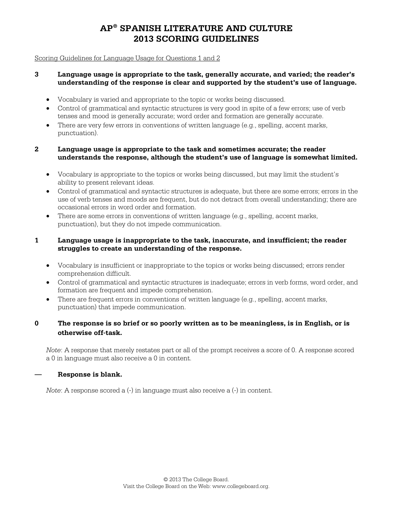#### Scoring Guidelines for Language Usage for Questions 1 and 2

#### **3 Language usage is appropriate to the task, generally accurate, and varied; the reader's understanding of the response is clear and supported by the student's use of language.**

- Vocabulary is varied and appropriate to the topic or works being discussed.
- Control of grammatical and syntactic structures is very good in spite of a few errors; use of verb tenses and mood is generally accurate; word order and formation are generally accurate.
- There are very few errors in conventions of written language (e.g., spelling, accent marks, punctuation).

#### **2 Language usage is appropriate to the task and sometimes accurate; the reader understands the response, although the student's use of language is somewhat limited.**

- Vocabulary is appropriate to the topics or works being discussed, but may limit the student's ability to present relevant ideas.
- Control of grammatical and syntactic structures is adequate, but there are some errors; errors in the use of verb tenses and moods are frequent, but do not detract from overall understanding; there are occasional errors in word order and formation.
- There are some errors in conventions of written language (e.g., spelling, accent marks, punctuation), but they do not impede communication.

#### **1 Language usage is inappropriate to the task, inaccurate, and insufficient; the reader struggles to create an understanding of the response.**

- Vocabulary is insufficient or inappropriate to the topics or works being discussed; errors render comprehension difficult.
- Control of grammatical and syntactic structures is inadequate; errors in verb forms, word order, and formation are frequent and impede comprehension.
- There are frequent errors in conventions of written language (e.g., spelling, accent marks, punctuation) that impede communication.

### **0 The response is so brief or so poorly written as to be meaningless, is in English, or is otherwise off-task.**

*Note*: A response that merely restates part or all of the prompt receives a score of 0. A response scored a 0 in language must also receive a 0 in content.

#### **— Response is blank.**

*Note*: A response scored a  $(-)$  in language must also receive a  $(-)$  in content.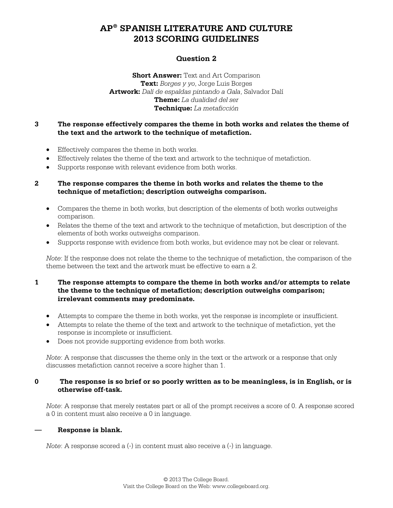### **Question 2**

**Short Answer:** Text and Art Comparison **Text:** *Borges y yo*, Jorge Luis Borges **Artwork:** *Dalí de espaldas pintando a Gala*, Salvador Dalí **Theme:** *La dualidad del ser* **Technique:** *La metaficción*

#### **3 The response effectively compares the theme in both works and relates the theme of the text and the artwork to the technique of metafiction.**

- Effectively compares the theme in both works.
- Effectively relates the theme of the text and artwork to the technique of metafiction.
- Supports response with relevant evidence from both works.

#### **2 The response compares the theme in both works and relates the theme to the technique of metafiction; description outweighs comparison.**

- Compares the theme in both works, but description of the elements of both works outweighs comparison.
- Relates the theme of the text and artwork to the technique of metafiction, but description of the elements of both works outweighs comparison.
- Supports response with evidence from both works, but evidence may not be clear or relevant.

*Note*: If the response does not relate the theme to the technique of metafiction, the comparison of the theme between the text and the artwork must be effective to earn a 2.

#### **1 The response attempts to compare the theme in both works and/or attempts to relate the theme to the technique of metafiction; description outweighs comparison; irrelevant comments may predominate.**

- Attempts to compare the theme in both works, yet the response is incomplete or insufficient.
- Attempts to relate the theme of the text and artwork to the technique of metafiction, yet the response is incomplete or insufficient.
- Does not provide supporting evidence from both works.

*Note*: A response that discusses the theme only in the text or the artwork or a response that only discusses metafiction cannot receive a score higher than 1.

#### **0 The response is so brief or so poorly written as to be meaningless, is in English, or is otherwise off-task.**

*Note*: A response that merely restates part or all of the prompt receives a score of 0. A response scored a 0 in content must also receive a 0 in language.

#### **— Response is blank.**

*Note*: A response scored a (-) in content must also receive a (-) in language.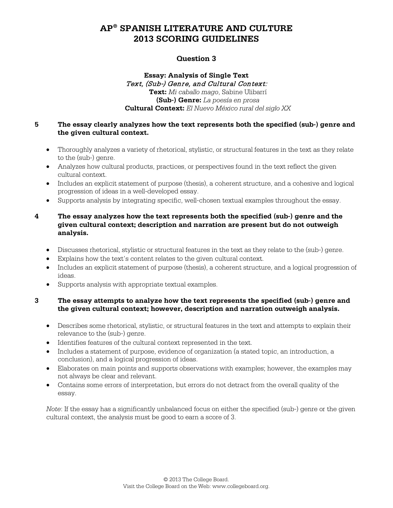### **Question 3**

#### **Essay: Analysis of Single Text** Text, (Sub-) Genre, and Cultural Context: **Text:** *Mi caballo mago*, Sabine Ulibarrí **(Sub-) Genre:** *La poesía en prosa* **Cultural Context:** *El Nuevo México rural del siglo XX*

#### **5 The essay clearly analyzes how the text represents both the specified (sub-) genre and the given cultural context.**

- Thoroughly analyzes a variety of rhetorical, stylistic, or structural features in the text as they relate to the (sub-) genre.
- Analyzes how cultural products, practices, or perspectives found in the text reflect the given cultural context.
- Includes an explicit statement of purpose (thesis), a coherent structure, and a cohesive and logical progression of ideas in a well-developed essay.
- Supports analysis by integrating specific, well-chosen textual examples throughout the essay.

#### **4 The essay analyzes how the text represents both the specified (sub-) genre and the given cultural context; description and narration are present but do not outweigh analysis.**

- Discusses rhetorical, stylistic or structural features in the text as they relate to the (sub-) genre.
- Explains how the text's content relates to the given cultural context.
- Includes an explicit statement of purpose (thesis), a coherent structure, and a logical progression of ideas.
- Supports analysis with appropriate textual examples.

#### **3 The essay attempts to analyze how the text represents the specified (sub-) genre and the given cultural context; however, description and narration outweigh analysis.**

- Describes some rhetorical, stylistic, or structural features in the text and attempts to explain their relevance to the (sub-) genre.
- Identifies features of the cultural context represented in the text.
- Includes a statement of purpose, evidence of organization (a stated topic, an introduction, a conclusion), and a logical progression of ideas.
- Elaborates on main points and supports observations with examples; however, the examples may not always be clear and relevant.
- Contains some errors of interpretation, but errors do not detract from the overall quality of the essay.

*Note*: If the essay has a significantly unbalanced focus on either the specified (sub-) genre or the given cultural context, the analysis must be good to earn a score of 3.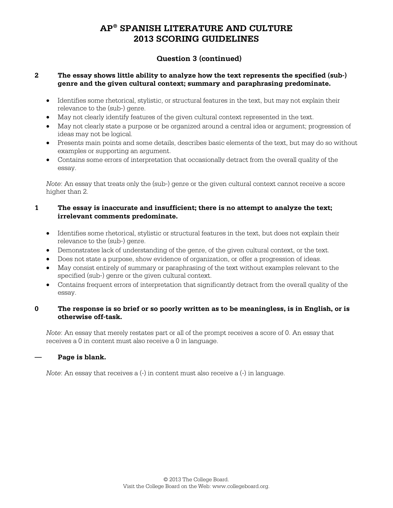### **Question 3 (continued)**

#### **2 The essay shows little ability to analyze how the text represents the specified (sub-) genre and the given cultural context; summary and paraphrasing predominate.**

- Identifies some rhetorical, stylistic, or structural features in the text, but may not explain their relevance to the (sub-) genre.
- May not clearly identify features of the given cultural context represented in the text.
- May not clearly state a purpose or be organized around a central idea or argument; progression of ideas may not be logical.
- Presents main points and some details, describes basic elements of the text, but may do so without examples or supporting an argument.
- Contains some errors of interpretation that occasionally detract from the overall quality of the essay.

*Note*: An essay that treats only the (sub-) genre or the given cultural context cannot receive a score higher than 2.

#### **1 The essay is inaccurate and insufficient; there is no attempt to analyze the text; irrelevant comments predominate.**

- Identifies some rhetorical, stylistic or structural features in the text, but does not explain their relevance to the (sub-) genre.
- Demonstrates lack of understanding of the genre, of the given cultural context, or the text.
- Does not state a purpose, show evidence of organization, or offer a progression of ideas.
- May consist entirely of summary or paraphrasing of the text without examples relevant to the specified (sub-) genre or the given cultural context.
- Contains frequent errors of interpretation that significantly detract from the overall quality of the essay.

#### **0 The response is so brief or so poorly written as to be meaningless, is in English, or is otherwise off-task.**

*Note*: An essay that merely restates part or all of the prompt receives a score of 0. An essay that receives a 0 in content must also receive a 0 in language.

### **— Page is blank.**

*Note*: An essay that receives a (-) in content must also receive a (-) in language.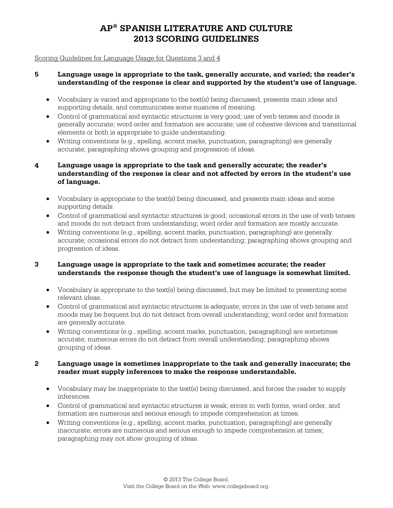#### Scoring Guidelines for Language Usage for Questions 3 and 4

#### **5 Language usage is appropriate to the task, generally accurate, and varied; the reader's understanding of the response is clear and supported by the student's use of language.**

- Vocabulary is varied and appropriate to the text(s) being discussed, presents main ideas and supporting details, and communicates some nuances of meaning.
- Control of grammatical and syntactic structures is very good; use of verb tenses and moods is generally accurate; word order and formation are accurate; use of cohesive devices and transitional elements or both is appropriate to guide understanding.
- Writing conventions (e.g., spelling, accent marks, punctuation, paragraphing) are generally accurate; paragraphing shows grouping and progression of ideas.

### **4 Language usage is appropriate to the task and generally accurate; the reader's understanding of the response is clear and not affected by errors in the student's use of language.**

- Vocabulary is appropriate to the text(s) being discussed, and presents main ideas and some supporting details.
- Control of grammatical and syntactic structures is good; occasional errors in the use of verb tenses and moods do not detract from understanding; word order and formation are mostly accurate.
- Writing conventions (e.g., spelling, accent marks, punctuation, paragraphing) are generally accurate; occasional errors do not detract from understanding; paragraphing shows grouping and progression of ideas.

#### **3 Language usage is appropriate to the task and sometimes accurate; the reader understands the response though the student's use of language is somewhat limited.**

- Vocabulary is appropriate to the text(s) being discussed, but may be limited to presenting some relevant ideas.
- Control of grammatical and syntactic structures is adequate; errors in the use of verb tenses and moods may be frequent but do not detract from overall understanding; word order and formation are generally accurate.
- Writing conventions (e.g., spelling, accent marks, punctuation, paragraphing) are sometimes accurate; numerous errors do not detract from overall understanding; paragraphing shows grouping of ideas.

#### **2 Language usage is sometimes inappropriate to the task and generally inaccurate; the reader must supply inferences to make the response understandable.**

- Vocabulary may be inappropriate to the text(s) being discussed, and forces the reader to supply inferences.
- Control of grammatical and syntactic structures is weak; errors in verb forms, word order, and formation are numerous and serious enough to impede comprehension at times.
- Writing conventions (e.g., spelling, accent marks, punctuation, paragraphing) are generally inaccurate; errors are numerous and serious enough to impede comprehension at times; paragraphing may not show grouping of ideas.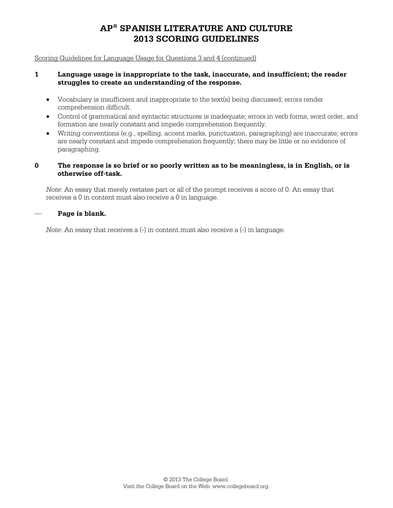Scoring Guidelines for Language Usage for Questions 3 and 4 (continued)

#### **1 Language usage is inappropriate to the task, inaccurate, and insufficient; the reader struggles to create an understanding of the response.**

- Vocabulary is insufficient and inappropriate to the text(s) being discussed; errors render comprehension difficult.
- Control of grammatical and syntactic structures is inadequate; errors in verb forms, word order, and formation are nearly constant and impede comprehension frequently.
- Writing conventions (e.g., spelling, accent marks, punctuation, paragraphing) are inaccurate; errors are nearly constant and impede comprehension frequently; there may be little or no evidence of paragraphing.

#### **0 The response is so brief or so poorly written as to be meaningless, is in English, or is otherwise off-task.**

*Note*: An essay that merely restates part or all of the prompt receives a score of 0. An essay that receives a 0 in content must also receive a 0 in language.

#### — **Page is blank.**

*Note*: An essay that receives a (-) in content must also receive a (-) in language.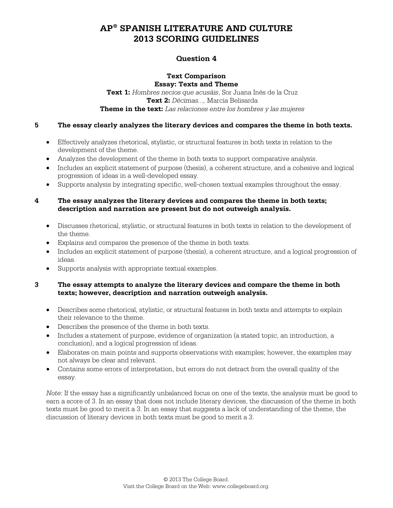### **Question 4**

#### **Text Comparison Essay: Texts and Theme**

**Text 1:** *Hombres necios que acusáis*, Sor Juana Inés de la Cruz **Text 2:** *Décimas...,* Marcia Belisarda **Theme in the text:** *Las relaciones entre los hombres y las mujeres*

#### **5 The essay clearly analyzes the literary devices and compares the theme in both texts.**

- Effectively analyzes rhetorical, stylistic, or structural features in both texts in relation to the development of the theme.
- Analyzes the development of the theme in both texts to support comparative analysis.
- Includes an explicit statement of purpose (thesis), a coherent structure, and a cohesive and logical progression of ideas in a well-developed essay.
- Supports analysis by integrating specific, well-chosen textual examples throughout the essay.

#### **4 The essay analyzes the literary devices and compares the theme in both texts; description and narration are present but do not outweigh analysis.**

- Discusses rhetorical, stylistic, or structural features in both texts in relation to the development of the theme.
- Explains and compares the presence of the theme in both texts.
- Includes an explicit statement of purpose (thesis), a coherent structure, and a logical progression of ideas.
- Supports analysis with appropriate textual examples.

#### **3 The essay attempts to analyze the literary devices and compare the theme in both texts; however, description and narration outweigh analysis.**

- Describes some rhetorical, stylistic, or structural features in both texts and attempts to explain their relevance to the theme.
- Describes the presence of the theme in both texts.
- Includes a statement of purpose, evidence of organization (a stated topic, an introduction, a conclusion), and a logical progression of ideas.
- Elaborates on main points and supports observations with examples; however, the examples may not always be clear and relevant.
- Contains some errors of interpretation, but errors do not detract from the overall quality of the essay.

*Note*: If the essay has a significantly unbalanced focus on one of the texts, the analysis must be good to earn a score of 3. In an essay that does not include literary devices, the discussion of the theme in both texts must be good to merit a 3. In an essay that suggests a lack of understanding of the theme, the discussion of literary devices in both texts must be good to merit a 3.